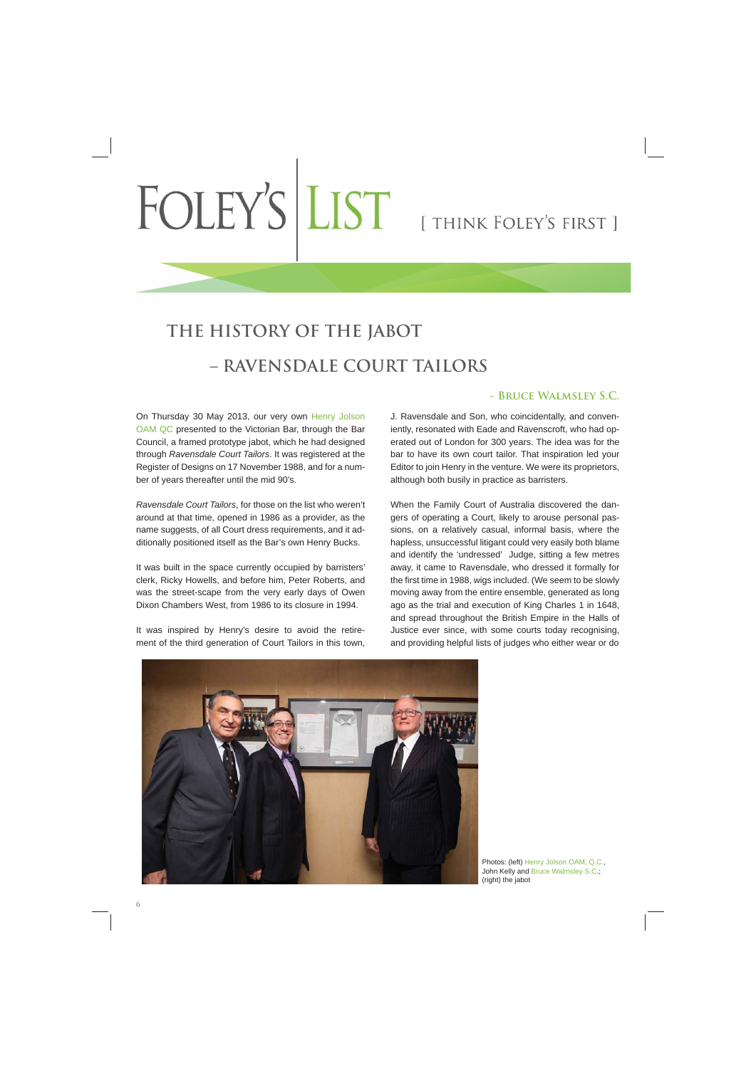## FOLEY'S LIST [THINK FOLEY'S FIRST]

## **THE HISTORY OF THE JABOT – RAVENSDALE COURT TAILORS**

On Thursday 30 May 2013, our very own Henry Jolson OAM QC presented to the Victorian Bar, through the Bar Council, a framed prototype jabot, which he had designed through *Ravensdale Court Tailors*. It was registered at the Register of Designs on 17 November 1988, and for a number of years thereafter until the mid 90's.

*Ravensdale Court Tailors*, for those on the list who weren't around at that time, opened in 1986 as a provider, as the name suggests, of all Court dress requirements, and it additionally positioned itself as the Bar's own Henry Bucks.

It was built in the space currently occupied by barristers' clerk, Ricky Howells, and before him, Peter Roberts, and was the street-scape from the very early days of Owen Dixon Chambers West, from 1986 to its closure in 1994.

It was inspired by Henry's desire to avoid the retirement of the third generation of Court Tailors in this town,

## **- Bruce Walmsley S.C.**

J. Ravensdale and Son, who coincidentally, and conveniently, resonated with Eade and Ravenscroft, who had operated out of London for 300 years. The idea was for the bar to have its own court tailor. That inspiration led your Editor to join Henry in the venture. We were its proprietors, although both busily in practice as barristers.

When the Family Court of Australia discovered the dangers of operating a Court, likely to arouse personal passions, on a relatively casual, informal basis, where the hapless, unsuccessful litigant could very easily both blame and identify the 'undressed' Judge, sitting a few metres away, it came to Ravensdale, who dressed it formally for the first time in 1988, wigs included. (We seem to be slowly moving away from the entire ensemble, generated as long ago as the trial and execution of King Charles 1 in 1648, and spread throughout the British Empire in the Halls of Justice ever since, with some courts today recognising, and providing helpful lists of judges who either wear or do



Photos: (left) Henry Jolson OAM, Q.C., John Kelly and Bruce Walmsley S.C.; (right) the jabot